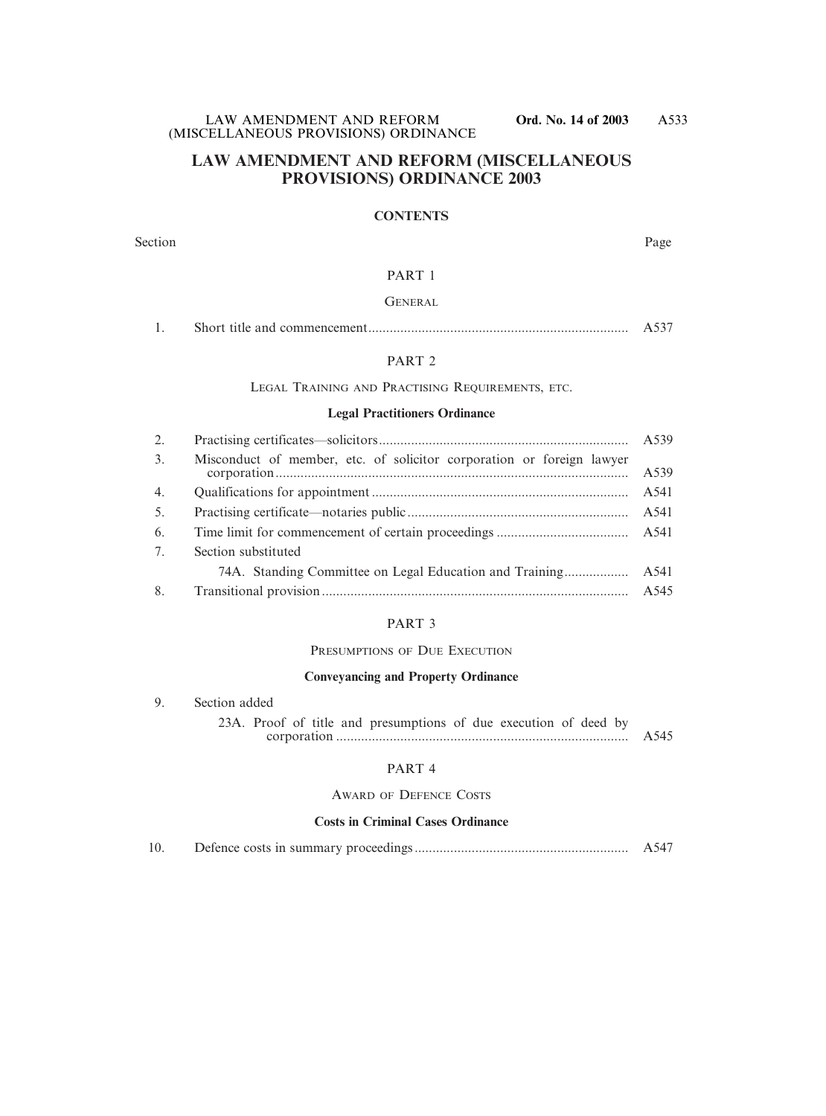## **LAW AMENDMENT AND REFORM (MISCELLANEOUS PROVISIONS) ORDINANCE 2003**

## **CONTENTS**

Section Page

#### PART 1

## **GENERAL**

|  |  | 7.1.11 |
|--|--|--------|
|--|--|--------|

## PART 2

LEGAL TRAINING AND PRACTISING REQUIREMENTS, ETC.

#### **Legal Practitioners Ordinance**

| 2. |                                                                       |      |
|----|-----------------------------------------------------------------------|------|
| 3. | Misconduct of member, etc. of solicitor corporation or foreign lawyer | A539 |
| 4. |                                                                       | A541 |
| 5. |                                                                       | A541 |
| 6. |                                                                       |      |
| 7. | Section substituted                                                   |      |
|    |                                                                       |      |
| 8. |                                                                       |      |

### PART 3

### PRESUMPTIONS OF DUE EXECUTION

## **Conveyancing and Property Ordinance**

| 9. Section added                                                 |      |
|------------------------------------------------------------------|------|
| 23A. Proof of title and presumptions of due execution of deed by | A545 |

### PART 4

#### AWARD OF DEFENCE COSTS

#### **Costs in Criminal Cases Ordinance**

| 10. |  |  |  |
|-----|--|--|--|
|-----|--|--|--|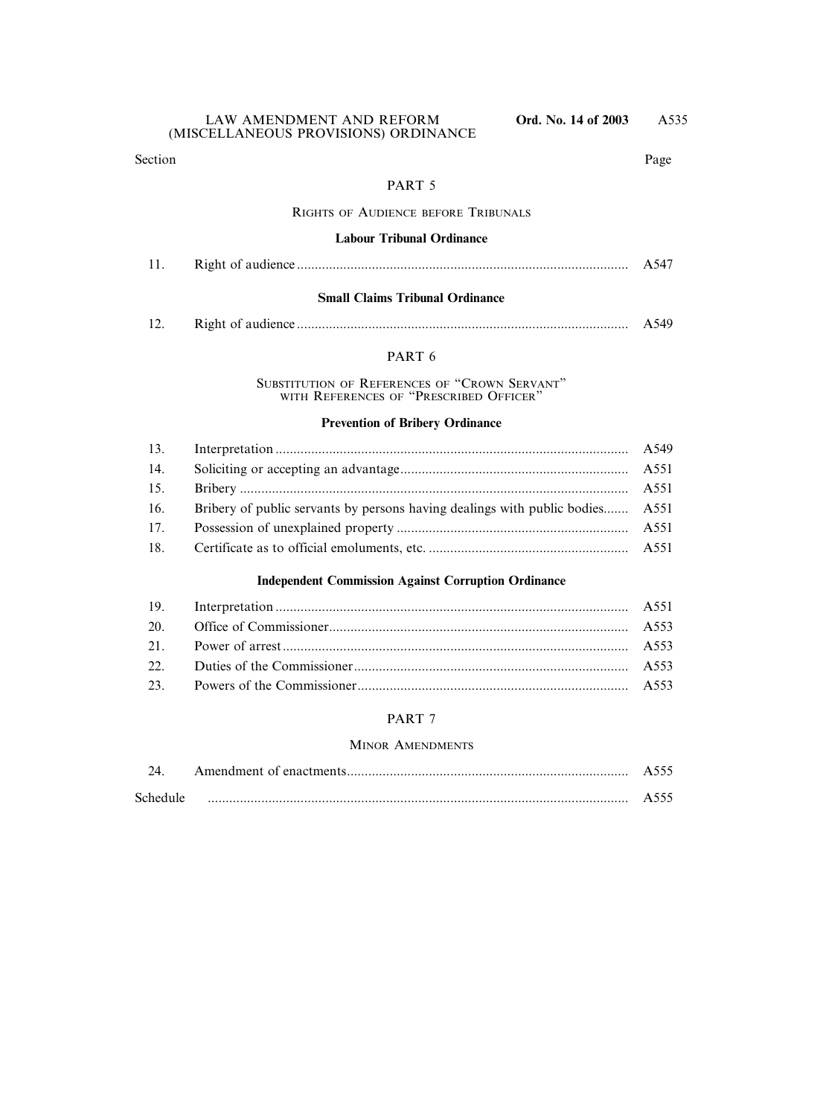Section Page

## PART 5

## RIGHTS OF AUDIENCE BEFORE TRIBUNALS

### **Labour Tribunal Ordinance**

#### **Small Claims Tribunal Ordinance**

| ┸ |  | ¬. ا |
|---|--|------|
|---|--|------|

## PART 6

SUBSTITUTION OF REFERENCES OF "CROWN SERVANT" WITH REFERENCES OF "PRESCRIBED OFFICER"

#### **Prevention of Bribery Ordinance**

| 14. |                                                                               |  |
|-----|-------------------------------------------------------------------------------|--|
| 15. |                                                                               |  |
| 16. | Bribery of public servants by persons having dealings with public bodies A551 |  |
| 17. |                                                                               |  |
| 18. |                                                                               |  |

## **Independent Commission Against Corruption Ordinance**

#### PART 7

#### MINOR AMENDMENTS

|          | $A$ לר  |
|----------|---------|
| Schedule | $A$ ጎጎጎ |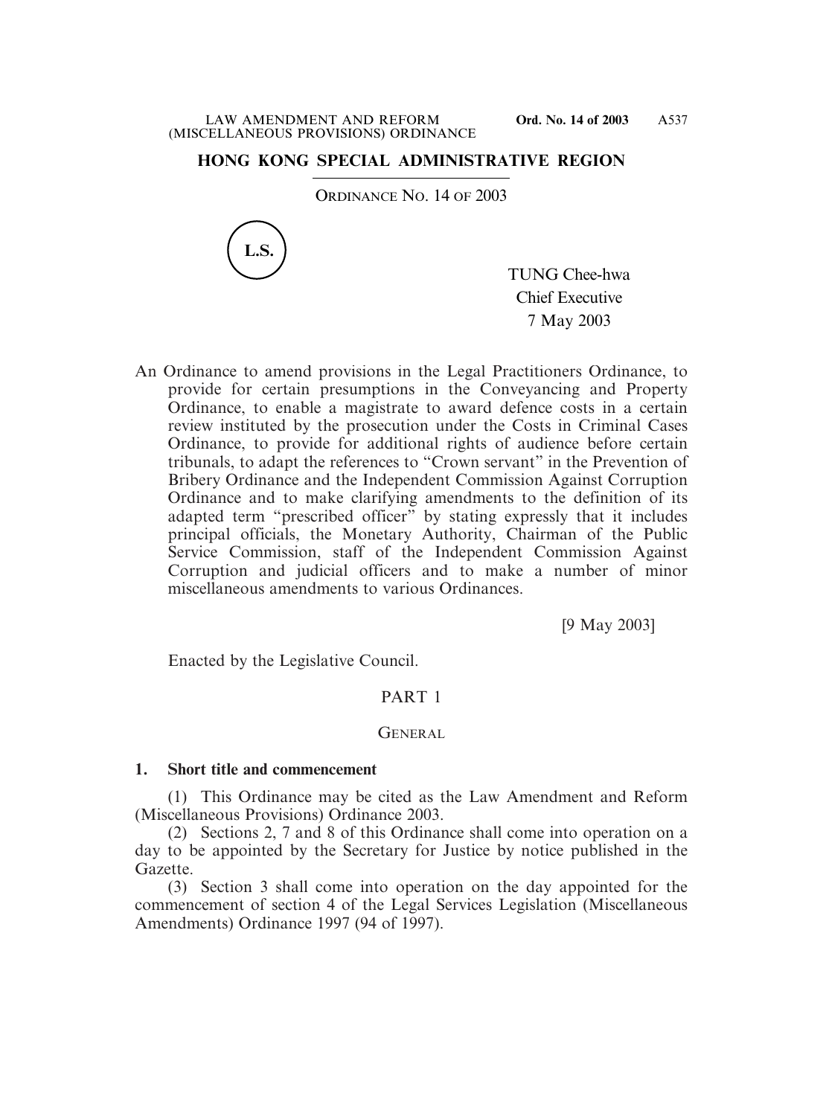# **HONG KONG SPECIAL ADMINISTRATIVE REGION**

ORDINANCE NO. 14 OF 2003



TUNG Chee-hwa Chief Executive 7 May 2003

An Ordinance to amend provisions in the Legal Practitioners Ordinance, to provide for certain presumptions in the Conveyancing and Property Ordinance, to enable a magistrate to award defence costs in a certain review instituted by the prosecution under the Costs in Criminal Cases Ordinance, to provide for additional rights of audience before certain tribunals, to adapt the references to "Crown servant" in the Prevention of Bribery Ordinance and the Independent Commission Against Corruption Ordinance and to make clarifying amendments to the definition of its adapted term "prescribed officer" by stating expressly that it includes principal officials, the Monetary Authority, Chairman of the Public Service Commission, staff of the Independent Commission Against Corruption and judicial officers and to make a number of minor miscellaneous amendments to various Ordinances.

[9 May 2003]

Enacted by the Legislative Council.

## PART 1

## GENERAL

## **1. Short title and commencement**

(1) This Ordinance may be cited as the Law Amendment and Reform (Miscellaneous Provisions) Ordinance 2003.

(2) Sections 2, 7 and 8 of this Ordinance shall come into operation on a day to be appointed by the Secretary for Justice by notice published in the Gazette.

(3) Section 3 shall come into operation on the day appointed for the commencement of section 4 of the Legal Services Legislation (Miscellaneous Amendments) Ordinance 1997 (94 of 1997).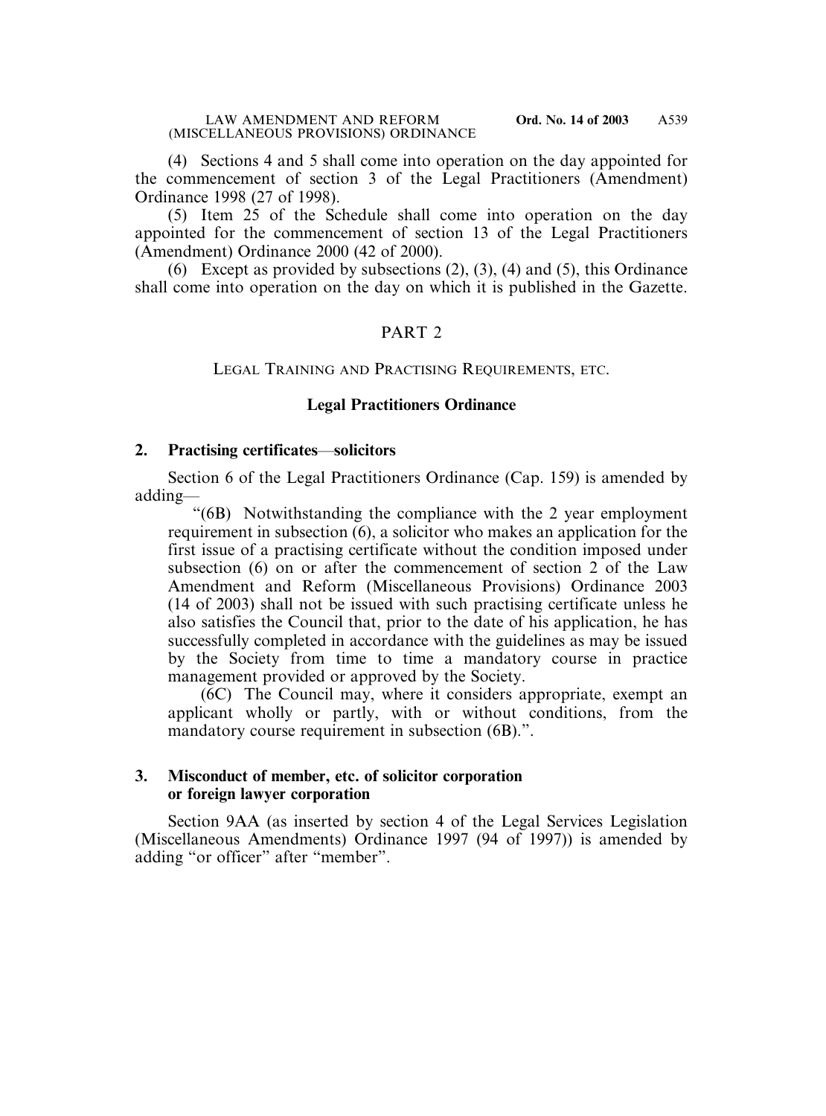(4) Sections 4 and 5 shall come into operation on the day appointed for the commencement of section 3 of the Legal Practitioners (Amendment) Ordinance 1998 (27 of 1998).

(5) Item 25 of the Schedule shall come into operation on the day appointed for the commencement of section 13 of the Legal Practitioners (Amendment) Ordinance 2000 (42 of 2000).

(6) Except as provided by subsections  $(2)$ ,  $(3)$ ,  $(4)$  and  $(5)$ , this Ordinance shall come into operation on the day on which it is published in the Gazette.

# PART 2

## LEGAL TRAINING AND PRACTISING REQUIREMENTS, ETC.

## **Legal Practitioners Ordinance**

### **2. Practising certificates**—**solicitors**

Section 6 of the Legal Practitioners Ordinance (Cap. 159) is amended by adding—

"(6B) Notwithstanding the compliance with the 2 year employment requirement in subsection (6), a solicitor who makes an application for the first issue of a practising certificate without the condition imposed under subsection (6) on or after the commencement of section 2 of the Law Amendment and Reform (Miscellaneous Provisions) Ordinance 2003 (14 of 2003) shall not be issued with such practising certificate unless he also satisfies the Council that, prior to the date of his application, he has successfully completed in accordance with the guidelines as may be issued by the Society from time to time a mandatory course in practice management provided or approved by the Society.

(6C) The Council may, where it considers appropriate, exempt an applicant wholly or partly, with or without conditions, from the mandatory course requirement in subsection (6B).".

## **3. Misconduct of member, etc. of solicitor corporation or foreign lawyer corporation**

Section 9AA (as inserted by section 4 of the Legal Services Legislation (Miscellaneous Amendments) Ordinance 1997 (94 of 1997)) is amended by adding "or officer" after "member".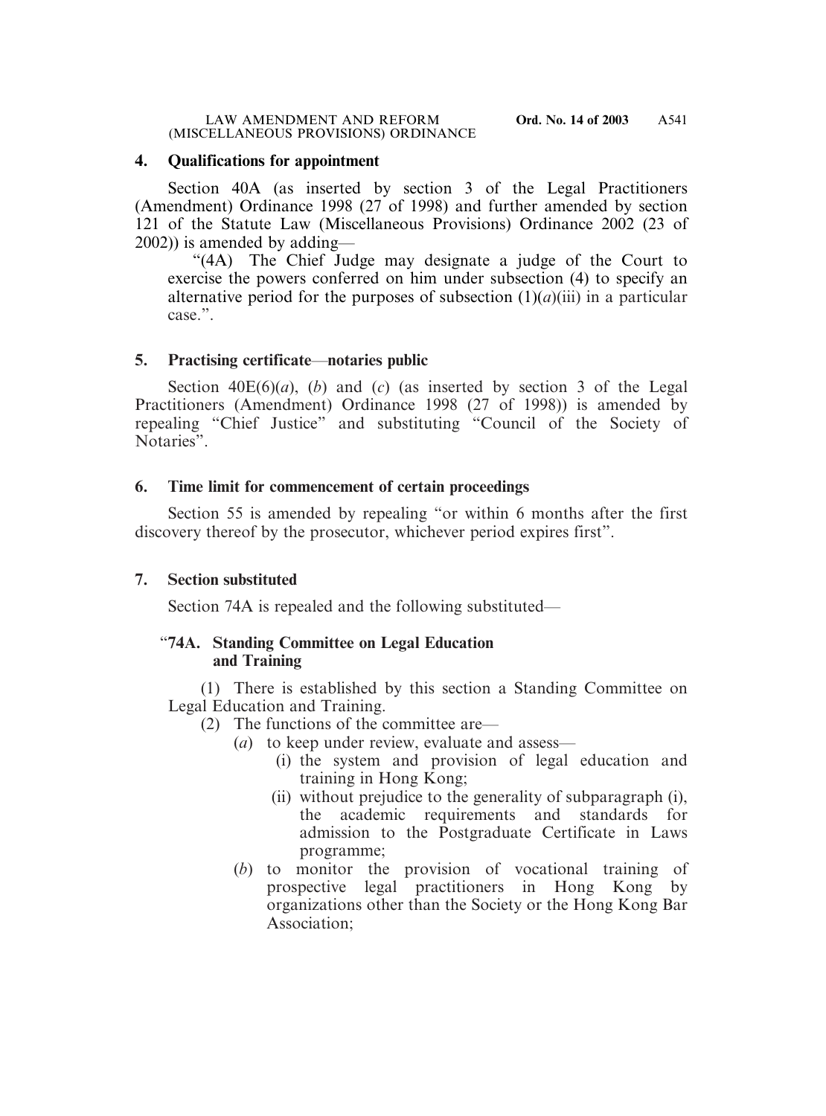## **4. Qualifications for appointment**

Section 40A (as inserted by section 3 of the Legal Practitioners (Amendment) Ordinance 1998 (27 of 1998) and further amended by section 121 of the Statute Law (Miscellaneous Provisions) Ordinance 2002 (23 of 2002)) is amended by adding—

"(4A) The Chief Judge may designate a judge of the Court to exercise the powers conferred on him under subsection (4) to specify an alternative period for the purposes of subsection  $(1)(a)(iii)$  in a particular case.".

# **5. Practising certificate**—**notaries public**

Section  $40E(6)(a)$ , (*b*) and (*c*) (as inserted by section 3 of the Legal Practitioners (Amendment) Ordinance 1998 (27 of 1998)) is amended by repealing "Chief Justice" and substituting "Council of the Society of Notaries".

# **6. Time limit for commencement of certain proceedings**

Section 55 is amended by repealing "or within 6 months after the first discovery thereof by the prosecutor, whichever period expires first".

# **7. Section substituted**

Section 74A is repealed and the following substituted—

# "**74A. Standing Committee on Legal Education and Training**

(1) There is established by this section a Standing Committee on Legal Education and Training.

- (2) The functions of the committee are—
	- (*a*) to keep under review, evaluate and assess—
		- (i) the system and provision of legal education and training in Hong Kong;
		- (ii) without prejudice to the generality of subparagraph (i), the academic requirements and standards for admission to the Postgraduate Certificate in Laws programme;
	- (*b*) to monitor the provision of vocational training of prospective legal practitioners in Hong Kong by organizations other than the Society or the Hong Kong Bar Association;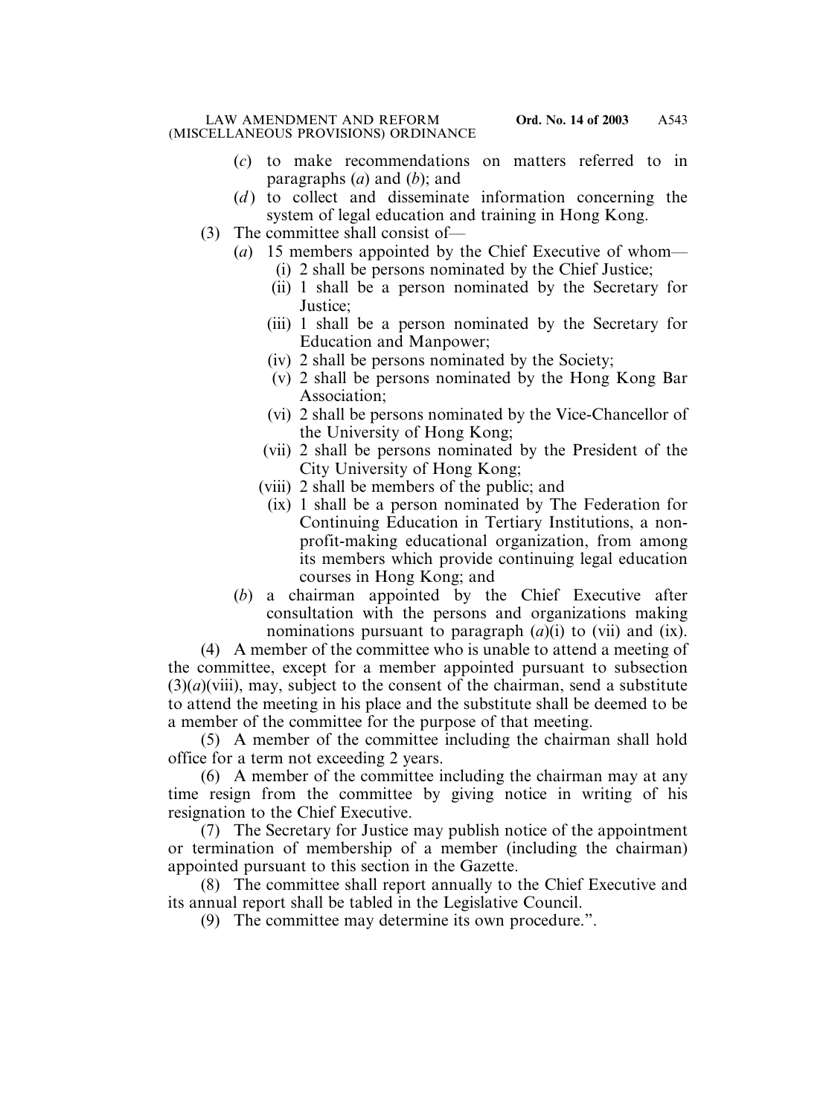- (*c*) to make recommendations on matters referred to in paragraphs (*a*) and (*b*); and
- (*d*) to collect and disseminate information concerning the system of legal education and training in Hong Kong.
- (3) The committee shall consist of—
	- (*a*) 15 members appointed by the Chief Executive of whom—
		- (i) 2 shall be persons nominated by the Chief Justice;
		- (ii) 1 shall be a person nominated by the Secretary for Justice;
		- (iii) 1 shall be a person nominated by the Secretary for Education and Manpower;
		- (iv) 2 shall be persons nominated by the Society;
		- (v) 2 shall be persons nominated by the Hong Kong Bar Association;
		- (vi) 2 shall be persons nominated by the Vice-Chancellor of the University of Hong Kong;
		- (vii) 2 shall be persons nominated by the President of the City University of Hong Kong;
		- (viii) 2 shall be members of the public; and
			- (ix) 1 shall be a person nominated by The Federation for Continuing Education in Tertiary Institutions, a nonprofit-making educational organization, from among its members which provide continuing legal education courses in Hong Kong; and
	- (*b*) a chairman appointed by the Chief Executive after consultation with the persons and organizations making nominations pursuant to paragraph (*a*)(i) to (vii) and (ix).

(4) A member of the committee who is unable to attend a meeting of the committee, except for a member appointed pursuant to subsection  $(3)(a)(viii)$ , may, subject to the consent of the chairman, send a substitute to attend the meeting in his place and the substitute shall be deemed to be a member of the committee for the purpose of that meeting.

(5) A member of the committee including the chairman shall hold office for a term not exceeding 2 years.

(6) A member of the committee including the chairman may at any time resign from the committee by giving notice in writing of his resignation to the Chief Executive.

(7) The Secretary for Justice may publish notice of the appointment or termination of membership of a member (including the chairman) appointed pursuant to this section in the Gazette.

(8) The committee shall report annually to the Chief Executive and its annual report shall be tabled in the Legislative Council.

(9) The committee may determine its own procedure.".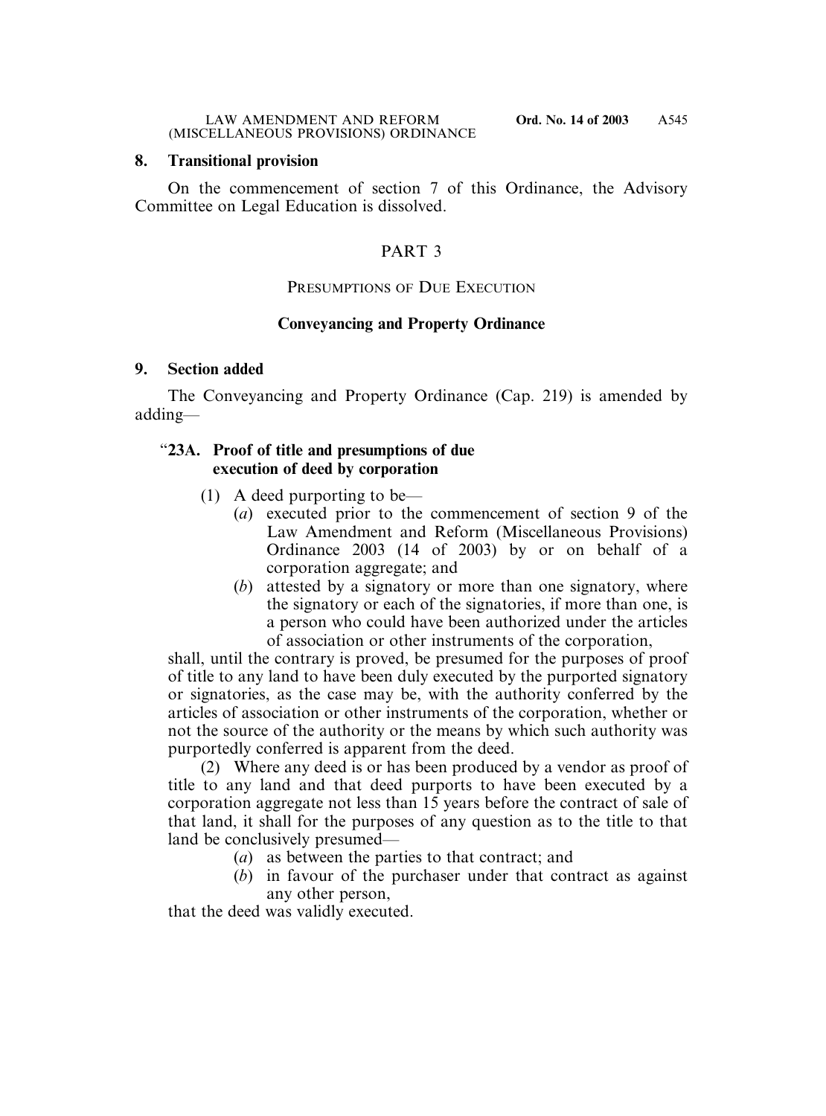## **8. Transitional provision**

On the commencement of section 7 of this Ordinance, the Advisory Committee on Legal Education is dissolved.

# PART 3

# PRESUMPTIONS OF DUE EXECUTION

# **Conveyancing and Property Ordinance**

## **9. Section added**

The Conveyancing and Property Ordinance (Cap. 219) is amended by adding—

## "**23A. Proof of title and presumptions of due execution of deed by corporation**

- (1) A deed purporting to be—
	- (*a*) executed prior to the commencement of section 9 of the Law Amendment and Reform (Miscellaneous Provisions) Ordinance 2003 (14 of 2003) by or on behalf of a corporation aggregate; and
	- (*b*) attested by a signatory or more than one signatory, where the signatory or each of the signatories, if more than one, is a person who could have been authorized under the articles of association or other instruments of the corporation,

shall, until the contrary is proved, be presumed for the purposes of proof of title to any land to have been duly executed by the purported signatory or signatories, as the case may be, with the authority conferred by the articles of association or other instruments of the corporation, whether or not the source of the authority or the means by which such authority was purportedly conferred is apparent from the deed.

(2) Where any deed is or has been produced by a vendor as proof of title to any land and that deed purports to have been executed by a corporation aggregate not less than 15 years before the contract of sale of that land, it shall for the purposes of any question as to the title to that land be conclusively presumed—

- (*a*) as between the parties to that contract; and
- (*b*) in favour of the purchaser under that contract as against any other person,

that the deed was validly executed.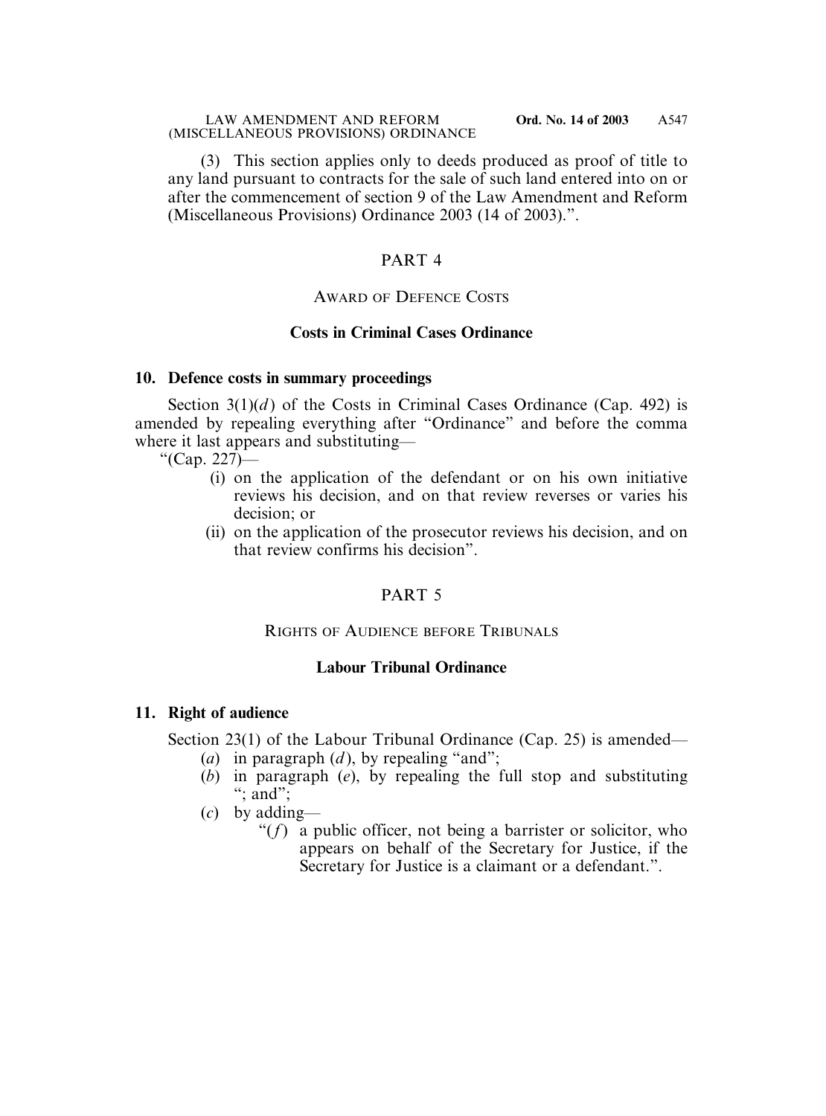(3) This section applies only to deeds produced as proof of title to any land pursuant to contracts for the sale of such land entered into on or after the commencement of section 9 of the Law Amendment and Reform (Miscellaneous Provisions) Ordinance 2003 (14 of 2003).".

# PART 4

## AWARD OF DEFENCE COSTS

## **Costs in Criminal Cases Ordinance**

## **10. Defence costs in summary proceedings**

Section  $3(1)(d)$  of the Costs in Criminal Cases Ordinance (Cap. 492) is amended by repealing everything after "Ordinance" and before the comma where it last appears and substituting—

"(Cap. 227)—

- (i) on the application of the defendant or on his own initiative reviews his decision, and on that review reverses or varies his decision; or
- (ii) on the application of the prosecutor reviews his decision, and on that review confirms his decision".

# PART 5

## RIGHTS OF AUDIENCE BEFORE TRIBUNALS

## **Labour Tribunal Ordinance**

## **11. Right of audience**

Section 23(1) of the Labour Tribunal Ordinance (Cap. 25) is amended—

- (*a*) in paragraph (*d* ), by repealing "and";
- (*b*) in paragraph (*e*), by repealing the full stop and substituting " $\therefore$  and":
- (*c*) by adding—
	- " $(f)$  a public officer, not being a barrister or solicitor, who appears on behalf of the Secretary for Justice, if the Secretary for Justice is a claimant or a defendant.".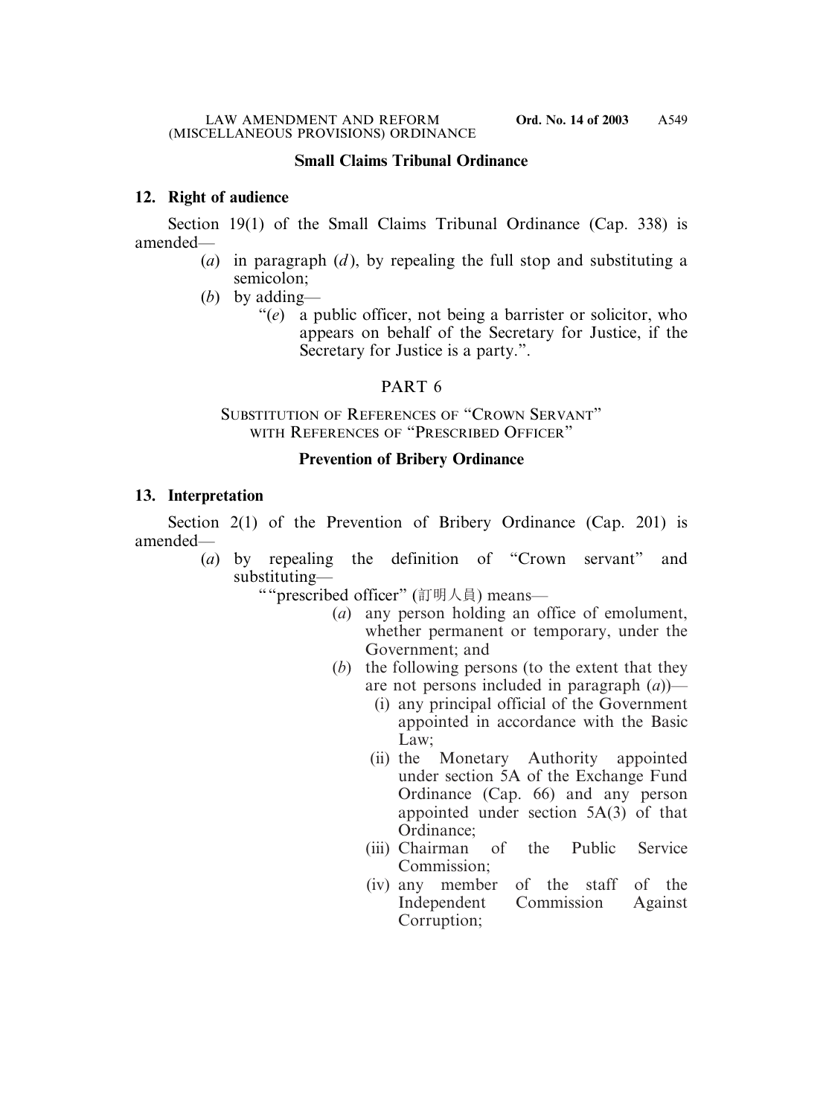## **Small Claims Tribunal Ordinance**

# **12. Right of audience**

Section 19(1) of the Small Claims Tribunal Ordinance (Cap. 338) is amended—

- (*a*) in paragraph (*d* ), by repealing the full stop and substituting a semicolon;
- (*b*) by adding—
	- "(*e*) a public officer, not being a barrister or solicitor, who appears on behalf of the Secretary for Justice, if the Secretary for Justice is a party.".

# PART 6

## SUBSTITUTION OF REFERENCES OF "CROWN SERVANT" WITH REFERENCES OF "PRESCRIBED OFFICER"

## **Prevention of Bribery Ordinance**

## **13. Interpretation**

Section 2(1) of the Prevention of Bribery Ordinance (Cap. 201) is amended—

(*a*) by repealing the definition of "Crown servant" and substituting—

""prescribed officer" (訂明人員) means—

- (*a*) any person holding an office of emolument, whether permanent or temporary, under the Government; and
- (*b*) the following persons (to the extent that they are not persons included in paragraph (*a*))—
	- (i) any principal official of the Government appointed in accordance with the Basic Law:
	- (ii) the Monetary Authority appointed under section 5A of the Exchange Fund Ordinance (Cap. 66) and any person appointed under section 5A(3) of that Ordinance;
	- (iii) Chairman of the Public Service Commission;
	- (iv) any member of the staff of the Independent Commission Against Corruption;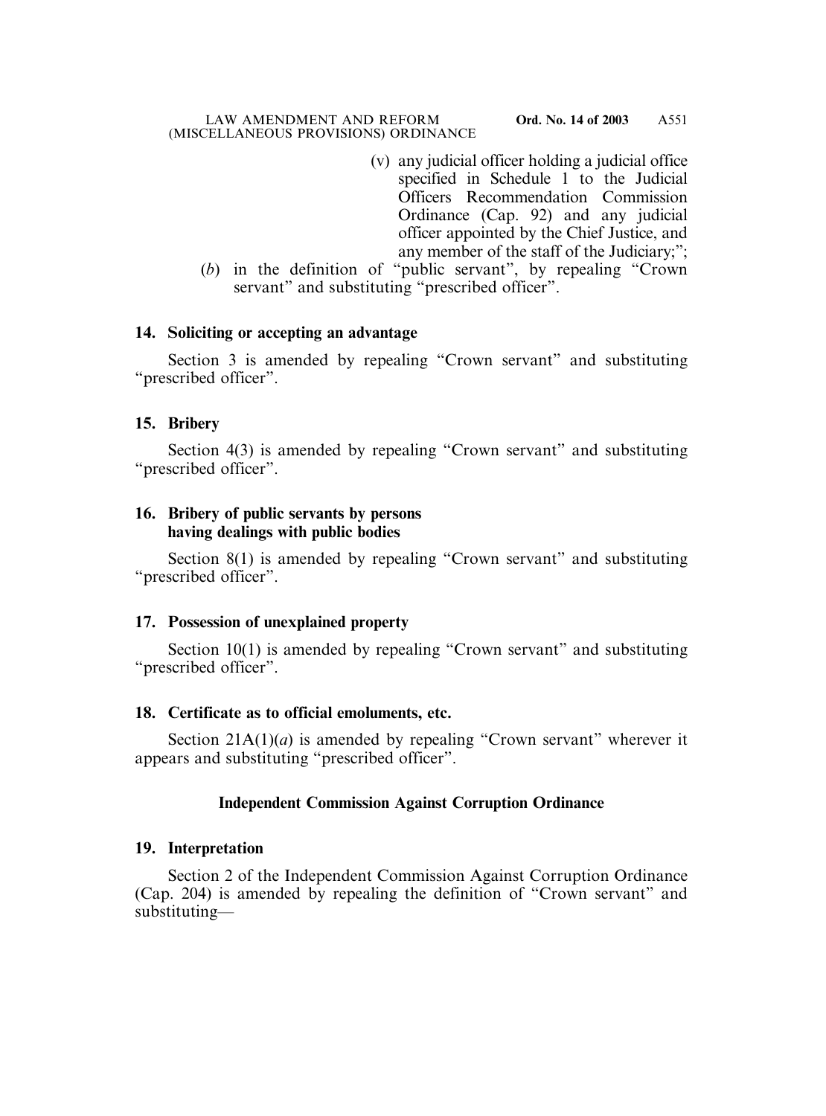- (v) any judicial officer holding a judicial office specified in Schedule 1 to the Judicial Officers Recommendation Commission Ordinance (Cap. 92) and any judicial officer appointed by the Chief Justice, and any member of the staff of the Judiciary;";
- (*b*) in the definition of "public servant", by repealing "Crown servant" and substituting "prescribed officer".

# **14. Soliciting or accepting an advantage**

Section 3 is amended by repealing "Crown servant" and substituting "prescribed officer".

# **15. Bribery**

Section 4(3) is amended by repealing "Crown servant" and substituting "prescribed officer".

# **16. Bribery of public servants by persons having dealings with public bodies**

Section 8(1) is amended by repealing "Crown servant" and substituting "prescribed officer".

# **17. Possession of unexplained property**

Section 10(1) is amended by repealing "Crown servant" and substituting "prescribed officer".

# **18. Certificate as to official emoluments, etc.**

Section  $21A(1)(a)$  is amended by repealing "Crown servant" wherever it appears and substituting "prescribed officer".

# **Independent Commission Against Corruption Ordinance**

# **19. Interpretation**

Section 2 of the Independent Commission Against Corruption Ordinance (Cap. 204) is amended by repealing the definition of "Crown servant" and substituting—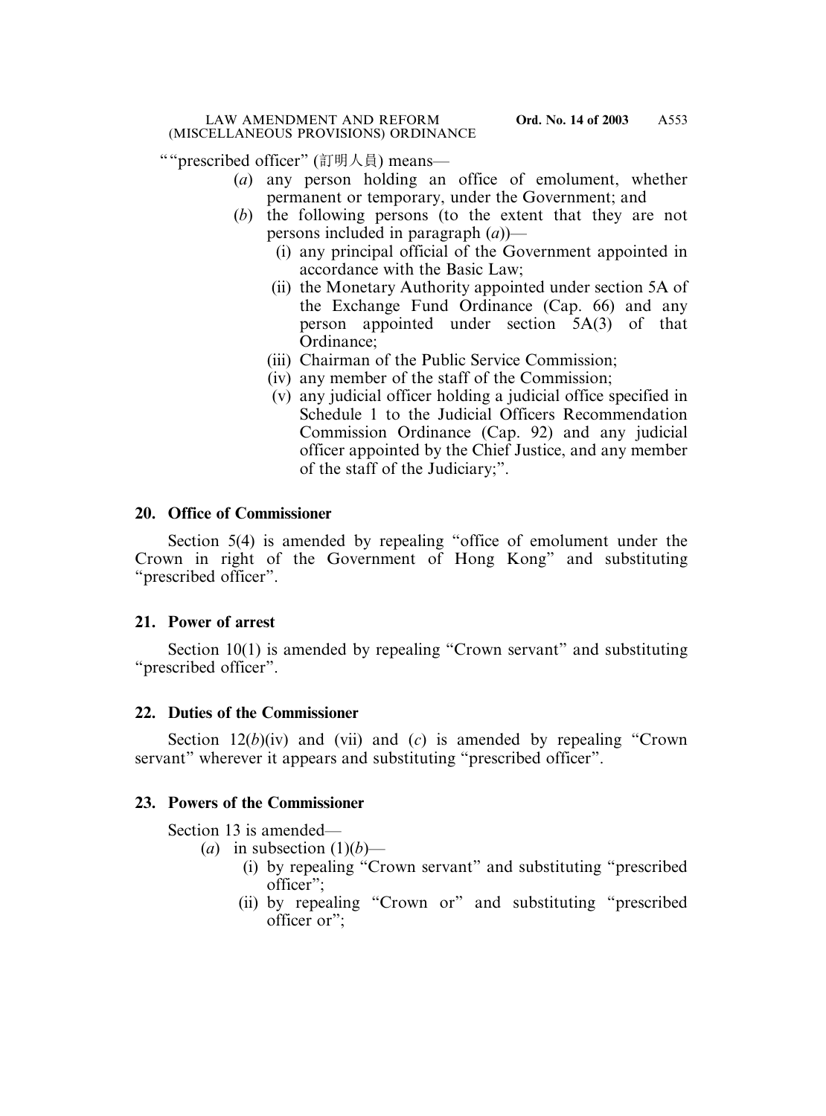""prescribed officer" (訂明人員) means—

- (*a*) any person holding an office of emolument, whether permanent or temporary, under the Government; and
- (*b*) the following persons (to the extent that they are not persons included in paragraph (*a*))—
	- (i) any principal official of the Government appointed in accordance with the Basic Law;
	- (ii) the Monetary Authority appointed under section 5A of the Exchange Fund Ordinance (Cap. 66) and any person appointed under section 5A(3) of that Ordinance;
	- (iii) Chairman of the Public Service Commission;
	- (iv) any member of the staff of the Commission;
	- (v) any judicial officer holding a judicial office specified in Schedule 1 to the Judicial Officers Recommendation Commission Ordinance (Cap. 92) and any judicial officer appointed by the Chief Justice, and any member of the staff of the Judiciary;".

# **20. Office of Commissioner**

Section 5(4) is amended by repealing "office of emolument under the Crown in right of the Government of Hong Kong" and substituting "prescribed officer".

# **21. Power of arrest**

Section 10(1) is amended by repealing "Crown servant" and substituting "prescribed officer".

# **22. Duties of the Commissioner**

Section 12(*b*)(iv) and (vii) and (*c*) is amended by repealing "Crown servant" wherever it appears and substituting "prescribed officer".

# **23. Powers of the Commissioner**

Section 13 is amended—

- (*a*) in subsection  $(1)(b)$ 
	- (i) by repealing "Crown servant" and substituting "prescribed officer";
	- (ii) by repealing "Crown or" and substituting "prescribed officer or";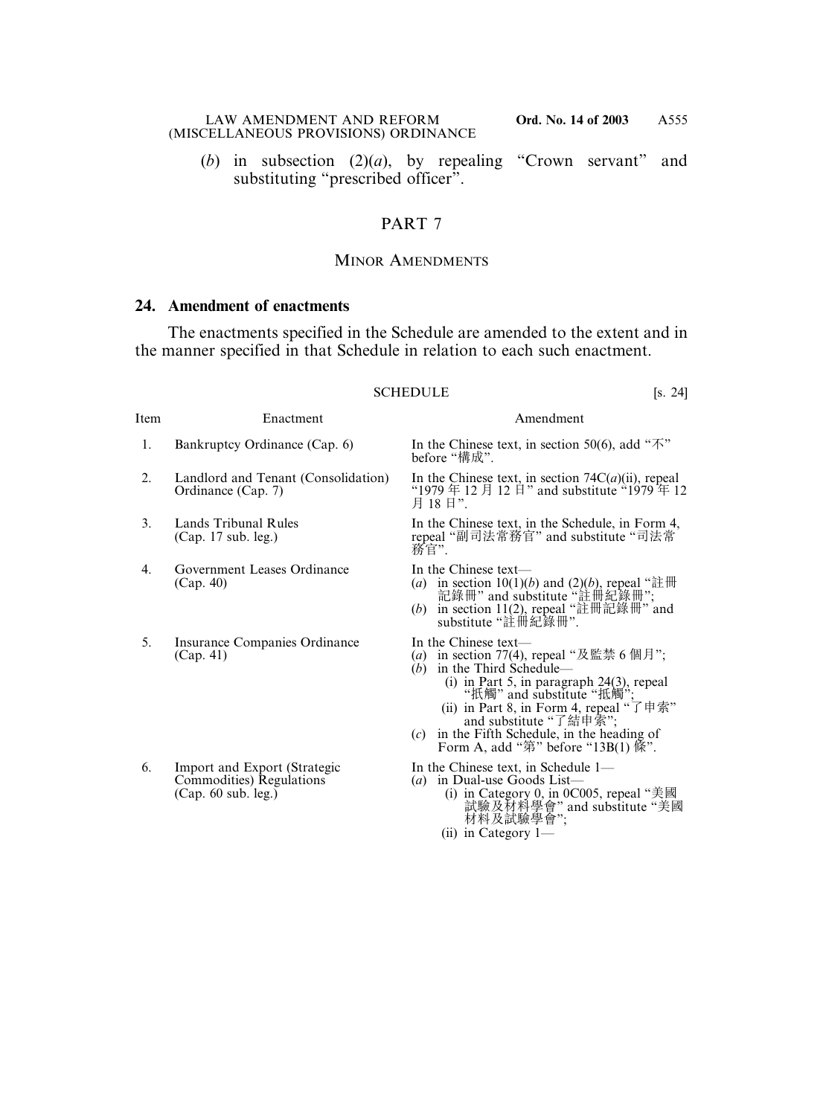(*b*) in subsection (2)(*a*), by repealing "Crown servant" and substituting "prescribed officer".

## PART 7

## MINOR AMENDMENTS

## **24. Amendment of enactments**

The enactments specified in the Schedule are amended to the extent and in the manner specified in that Schedule in relation to each such enactment.

#### SCHEDULE [s. 24]

| Bankrupicy Ordinance (Cap. 0)       |  |
|-------------------------------------|--|
| Landlord and Tenant (Consolidation) |  |

- 
- 4. Government Leases Ordinance In the Chinese text—<br>(Cap. 40)  $\qquad \qquad (a)$  in section  $10(1)(i)$
- 5. Insurance Companies Ordinance In the Chinese text—<br>(Cap. 41)  $\qquad \qquad$  (a) in section 77(4),
- 6. Import and Export (Strategic In the Chinese text, in Schedule 1—<br>Commodities) Regulations (a) in Dual-use Goods List— Commodities) Regulations<br>(Cap. 60 sub. leg.)

#### Item Enactment Amendment

1. Bankruptcy Ordinance (Cap. 6) In the Chinese text, in section 50(6), add " $\overline{\mathcal{N}}$ " before "構成".

Landlord and Tenant (Consolidation) In the Chinese text, in section 74C(*a*)(ii), repeal Ordinance (Cap. 7) <br>
(1979  $\#$  12  $\#$  12  $\#$ ) and substitute (1979  $\#$  12 "1979 年 12 月 12 日" and substitute "1979 年 12 月 18日"

3. Lands Tribunal Rules In the Chinese text, in the Schedule, in Form 4, (Cap. 17 sub. leg.) In the Chinese text, in the Schedule, in Form 4, repeal "副司法常務官" and substitute "司法常 務官".

- (Cap. 40) (*a*) in section 10(1)(*b*) and (2)(*b*), repeal "註冊 記錄冊" and substitute "註冊紀錄冊";
	- (*b*) in section 11(2), repeal "註冊記錄冊" and substitute "註冊紀錄冊".

- (a) in section 77(4), repeal "及監禁 6 個月";
- $(b)$  in the Third Schedule— (i) in Part 5, in paragraph 24(3), repeal "扺觸" and substitute "抵觸";
	- (ii) in Part 8, in Form 4, repeal "了申索" and substitute "了結申索";
- (*c*) in the Fifth Schedule, in the heading of Form A, add " $\ddot{\mathfrak{B}}$ " before "13B(1)  $\ddot{\mathfrak{K}}$ ".

- - (i) in Category 0, in 0C005, repeal "美國 試驗及材料學會" and substitute "美國 材料及試驗學會";
	- (ii) in Category 1—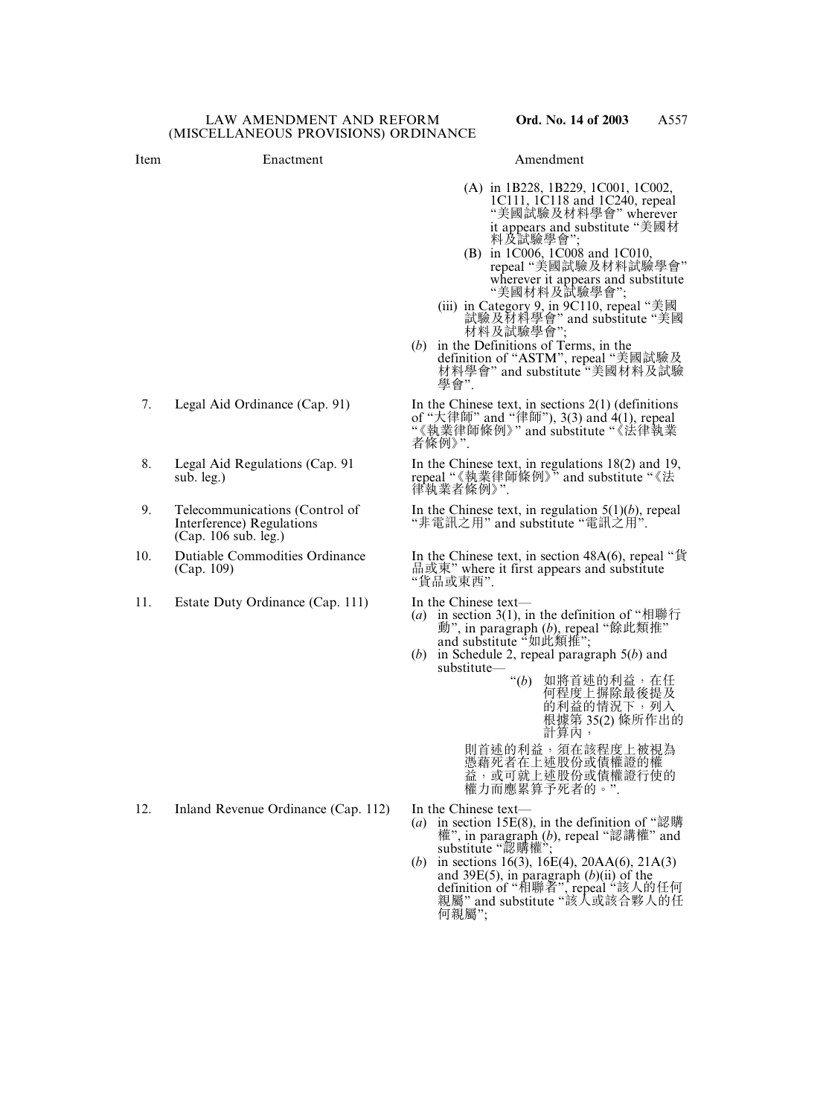- 
- (A) in 1B228, 1B229, 1C001, 1C002, 1C111, 1C118 and 1C240, repeal "美國試驗及材料學會" wherever it appears and substitute "美國材 料及試驗學會";
- (B) in 1C006, 1C008 and 1C010, repeal "美國試驗及材料試驗學會" wherever it appears and substitute "美國材料及試驗學會";
- (iii) in Category 9, in 9C110, repeal "美國 試驗及材料學會" and substitute "美國 材料及試驗學會";
- (*b*) in the Definitions of Terms, in the definition of "ASTM", repeal "美國試驗及 材料學會" and substitute "美國材料及試驗 學會".

7. Legal Aid Ordinance (Cap. 91) In the Chinese text, in sections 2(1) (definitions of "大律師" and "律師"), 3(3) and 4(1), repeal **Of** 入住品 and Her *j*, c(c) and wX: (法律執業 者條例》".

8. Legal Aid Regulations (Cap. 91 In the Chinese text, in regulations 18(2) and 19, sub. leg.) **hereal "《**執業律師條例》" and substitute "《法 律執業者條例》".

9. Telecommunications (Control of In the Chinese text, in regulation 5(1)(*b*), repeal Interference) Regulations "非電訊之用" and substitute "電訊之用". "非電訊之用" and substitute "電訊之用"

10. Dutiable Commodities Ordinance In the Chinese text, in section 48A(6), repeal "貨 品或東" where it first appears and substitute "貨品或東西".

- (*a*) in section 3(1), in the definition of "相聯行 動", in paragraph (b), repeal "餘此類推"<br>and substitute "如此類推";
- (*b*) in Schedule 2, repeal paragraph 5(*b*) and substitute—

"(*b*) 如將首述的利益,在任 何程度上摒除最後提及 的利益的情況下,列入 根據第 35(2) 條所作出的 計算內,

則首述的利益,須在該程度上被視為 憑藉死者在上述股份或債權證的權 益,或可就上述股份或債權證行使的 權力而應累算予死者的。".

- 
- (*a*) in section 15E(8), in the definition of "認購" 權", in paragraph (*b*), repeal "認講權" and substitute "認購權";
- (*b*) in sections 16(3), 16E(4), 20AA(6), 21A(3) and 39E(5), in paragraph (*b*)(ii) of the definition of "相聯者", repeal "該人的任何 親屬" and substitute "該人或該合夥人的任 何親屬";
- 
- 
- (Cap. 106 sub. leg.)
- 
- 11. Estate Duty Ordinance (Cap. 111) In the Chinese text—

12. Inland Revenue Ordinance (Cap. 112) In the Chinese text—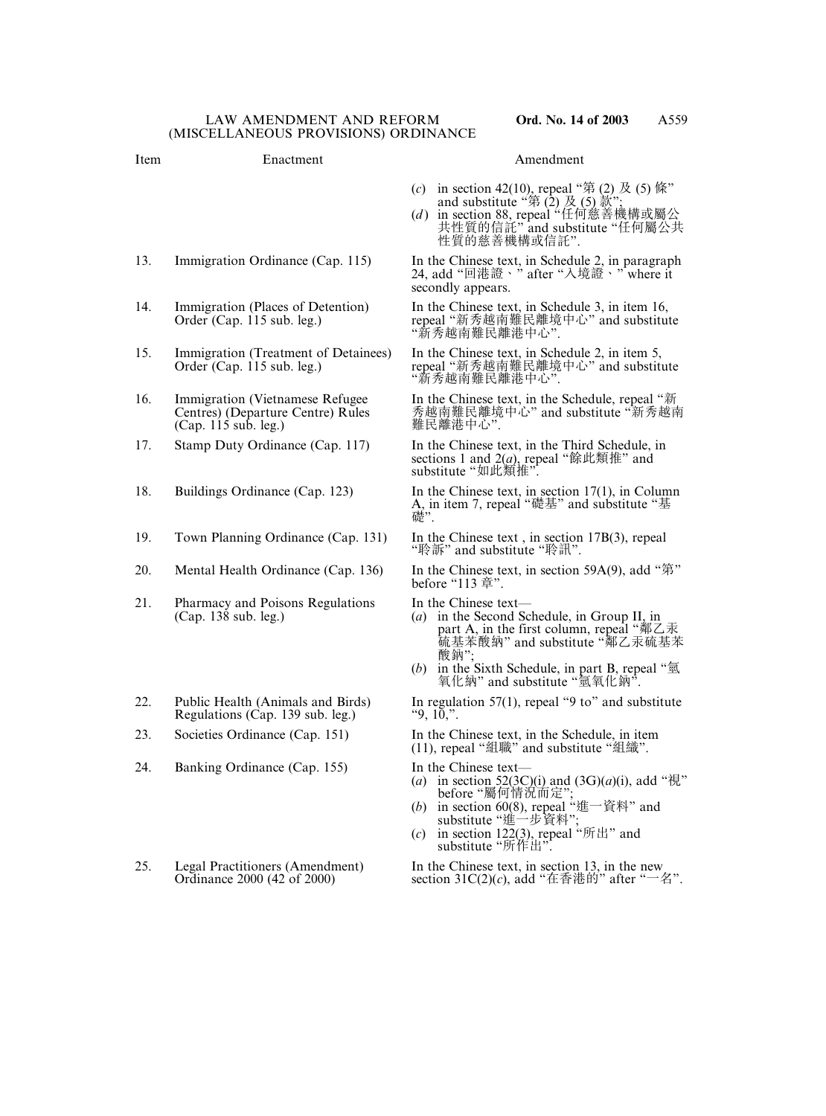# (*c*) in section 42(10), repeal "第 (2) 及 (5) 條" and substitute "第  $(2) \cancel{\mathcal{B}} (5) \cancel{\mathcal{B}}$ "; 性質的慈善機構或信託". 13. Immigration Ordinance (Cap. 115) In the Chinese text, in Schedule 2, in paragraph 24, add "回港證、" after "入境證、" where it secondly appears. 14. Immigration (Places of Detention) In the Chinese text, in Schedule 3, in item 16, Item Enactment Amendment

- 15. Immigration (Treatment of Detainees) In the Chinese text, in Schedule 2, in item 5,<br>Order (Cap. 115 sub. leg.) repeal "新秀越南難民離境中心" and substit
- $(Cap. 115 sub. leg.)$
- 
- 
- 19. Town Planning Ordinance (Cap. 131) In the Chinese text , in section 17B(3), repeal
- 
- 21. Pharmacy and Poisons Regulations In the Chinese text—<br>(Cap. 138 sub. leg.) (a) in the Second S
- Regulations (Cap. 139 sub. leg.)
- 
- 24. Banking Ordinance (Cap. 155) In the Chinese text—
- 

(*d* ) in section 88, repeal "任何慈善機構或屬公 共性質的信託" and substitute "任何屬公共

Order (Cap. 115 sub. leg.) repeal "新秀越南難民離境中心" and substitute<br>"新秀越南難民離港中心".

repeal "新秀越南難民離境中心" and substitute "新秀越南難民離港中心".

16. Immigration (Vietnamese Refugee In the Chinese text, in the Schedule, repeal "新<br>Centres) (Departure Centre) Rules 秀越南難民離境中心" and substitute "新秀越南 秀越南難民離境中心" and substitute "新秀越南<br>難民離港中心"

17. Stamp Duty Ordinance (Cap. 117) In the Chinese text, in the Third Schedule, in sections 1 and 2(*a*), repeal "餘此類推" and substitute "如此類推".

18. Buildings Ordinance (Cap. 123) In the Chinese text, in section 17(1), in Column A, in item 7, repeal "礎基" and substitute "基 礎".

"聆訴" and substitute "聆訊".

20. Mental Health Ordinance (Cap. 136) In the Chinese text, in section 59A(9), add "第" before "113 章".

- (*a*) in the Second Schedule, in Group II, in part A, in the first column, repeal "鄰乙汞 硫基苯酸納" and substitute "鄰乙汞硫基苯 酸鈉":
- (*b*) in the Sixth Schedule, in part B, repeal " $\overline{\mathfrak{A}}$ 氧化納" and substitute "氫氧化鈉".

22. Public Health (Animals and Birds) In regulation 57(1), repeal "9 to" and substitute Regulations (Cap. 139 sub. leg.)  $\begin{array}{cc} \text{9, 10,} \text{''}. \end{array}$ 

23. Societies Ordinance (Cap. 151) In the Chinese text, in the Schedule, in item (11), repeal "組職" and substitute "組織".

- (*a*) in section 52(3C)(i) and (3G)(*a*)(i), add " $\ddot{\mathcal{H}}$ " before "屬何情況而定";
- (*b*) in section 60(8), repeal "進一資料" and substitute "進一步資料";
- (*c*) in section 122(3), repeal " $\mathfrak{f}$ " fith" and substitute "所作出".

25. Legal Practitioners (Amendment) In the Chinese text, in section 13, in the new Ordinance 2000 (42 of 2000) section  $31C(2)(c)$ , add " $\pm \frac{3}{4}$ " after " $\pm \frac{3}{4}$ " section 31C(2)(*c*), add "在香港的" after "一名".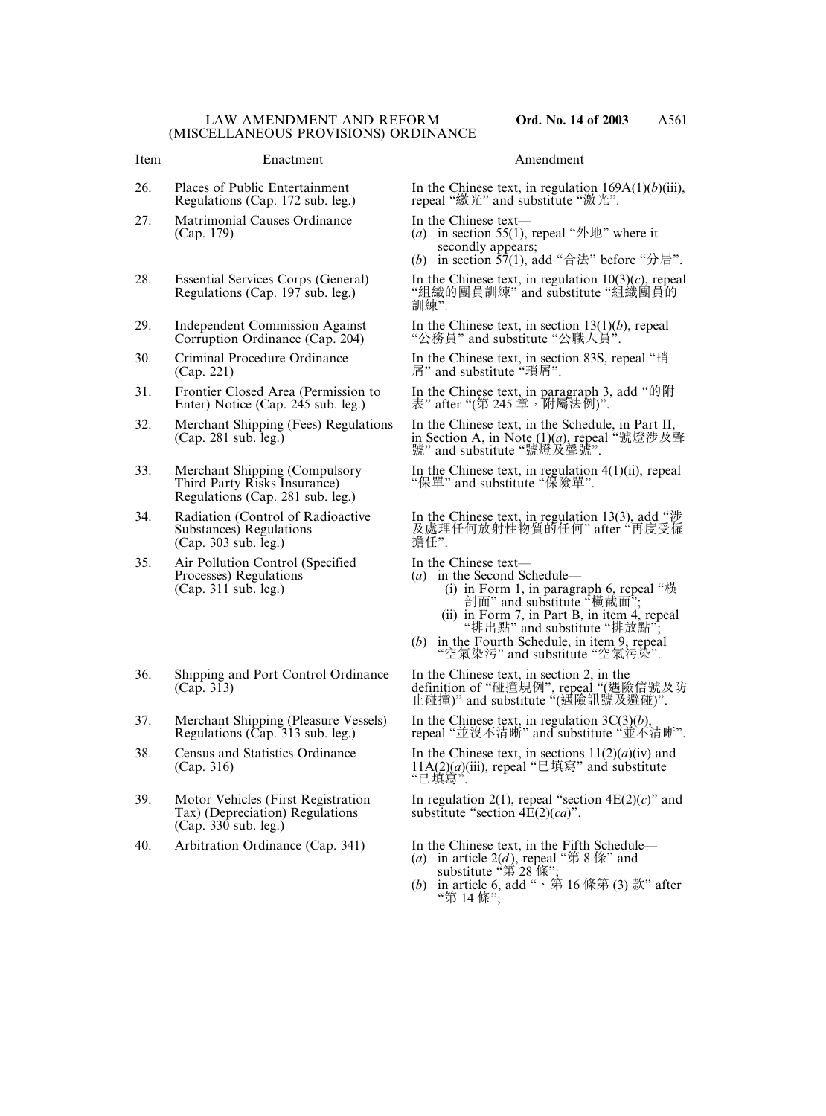#### Item Enactment Amendment

- 
- 27. Matrimonial Causes Ordinance In the Chinese text—<br>(Cap. 179)  $\begin{array}{c} (a) \text{ in section } 55(1), \end{array}$
- 
- 
- (Cap. 221) 屑" and substitute "瑣屑".
- 
- 
- Regulations (Cap. 281 sub. leg.)
- $(Cap. 303 sub. Ieg.)$
- 35. Air Pollution Control (Specified In the Chinese text—<br>Processes) Regulations (a) in the Second Sc Processes) Regulations (*a*) in the Second Schedule—<br>
(Cap. 311 sub. leg.) (i) in Form 1, in paragr
- 36. Shipping and Port Control Ordinance In the Chinese text, in section 2, in the
- 37. Merchant Shipping (Pleasure Vessels) In the Chinese text, in regulation 3C(3)(*b*),<br>Regulations (Cap. 313 sub. leg.) repeal "並沒不清晰" and substitute "並不
- 
- Tax) (Depreciation) Regulations substitute "section 4E(2)(*ca*)". (Cap. 330 sub. leg.)
- 

26. Places of Public Entertainment In the Chinese text, in regulation 169A(1)(*b*)(iii),<br>Regulations (Cap. 172 sub. leg.) repeal "繳光" and substitute "激光". repeal "繳光" and substitute "激光".

- (*a*) in section 55(1), repeal " $\mathcal{H}$ \" where it secondly appears;
- (b) in section  $\overline{57(1)}$ , add "合法" before "分居".

28. Essential Services Corps (General) In the Chinese text, in regulation  $10(3)(c)$ , repeal Regulations (Cap. 197 sub. leg.) "組織的團員訓練" and substitute "組織團員的 訓練".

29. Independent Commission Against In the Chinese text, in section 13(1)(*b*), repeal Corruption Ordinance (Cap. 204) "公務員" and substitute "公職人員". "公務員" and substitute "公職人員"

30. Criminal Procedure Ordinance In the Chinese text, in section 83S, repeal "琑

31. Frontier Closed Area (Permission to In the Chinese text, in paragraph 3, add "的附<br>Enter) Notice (Cap. 245 sub. leg.) <br> $\frac{1}{3}$  after "(第 245 章 ,附屬法例)". 表" after "(第 245 章, 附屬法例)".

32. Merchant Shipping (Fees) Regulations In the Chinese text, in the Schedule, in Part II, (Cap. 281 sub. leg.) in Section A, in Note (1)(*a*), repeal "號燈涉及聲 號" and substitute "號燈及聲號".

33. Merchant Shipping (Compulsory In the Chinese text, in regulation 4(1)(ii), repeal Third Party Risks Insurance) "保單" and substitute "保險單". "保單" and substitute "保險單".

34. Radiation (Control of Radioactive In the Chinese text, in regulation 13(3), add "涉 及處理任何放射性物質的任何" after "再度受僱<br>擔任".

- 
- (Cap. 311 sub. leg.) (i) in Form 1, in paragraph  $6$ , repeal "横 剖面" and substitute "橫截面";
	- (ii) in Form 7, in Part B, in item 4, repeal "排出點" and substitute "排放點";
	- (*b*) in the Fourth Schedule, in item 9, repeal "空氣染污" and substitute "空氣污染".

(Cap. 313) definition of "碰撞規例", repeal "(遇險信號及防 止碰撞)" and substitute "(遇險訊號及避碰)".

repeal "並沒不清晰" and substitute "並不清晰".

38. Census and Statistics Ordinance In the Chinese text, in sections  $11(2)(a)(iv)$  and  $11A(2)(a)(iii)$ , repeal " $\Box$   $\ddagger$   $\ddagger$   $\ddagger$   $\ddagger$  and substitute 11A(2)(*a*)(iii), repeal "巳填寫" and substitute "已填寫".

39. Motor Vehicles (First Registration In regulation 2(1), repeal "section  $4E(2)(c)$ " and

40. Arbitration Ordinance (Cap. 341) In the Chinese text, in the Fifth Schedule—

- (*a*) in article  $2(d)$ , repeal "第 8 條" and substitute "第 28 條";
- (*b*) in article 6, add "、第 16 條第 (3) 款" after "第 14 條";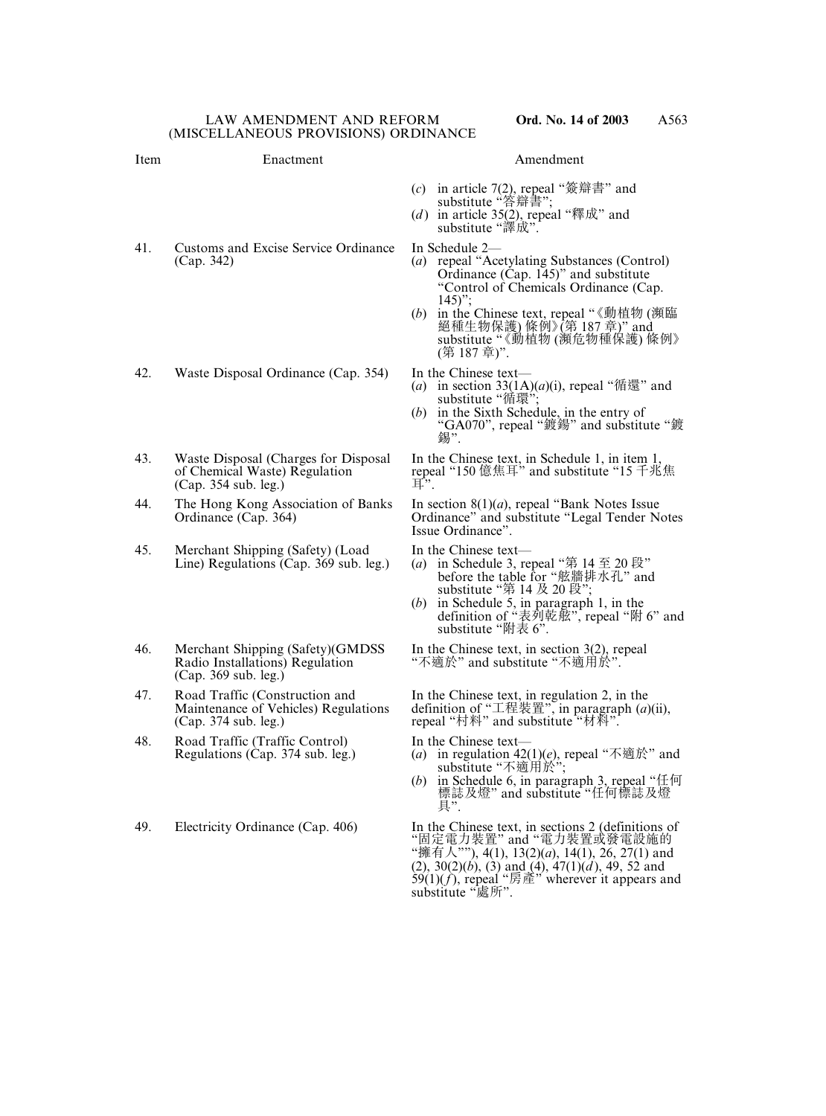## Item Enactment Amendment

- (*c*) in article 7(2), repeal "簽辯書" and substitute "答辯書";
- (*d*) in article 35(2), repeal "釋成" and substitute "譯成".
- 41. Customs and Excise Service Ordinance In Schedule 2–<br>(Cap. 342) (a) repeal "A
- 42. Waste Disposal Ordinance (Cap. 354) In the Chinese text—
- 43. Waste Disposal (Charges for Disposal In the Chinese text, in Schedule 1, in item 1,  $(Cap. 354 sub. leg.) \qquad \qquad \text{I}^{\cdot}$
- 44. The Hong Kong Association of Banks In section 8(1)(*a*), repeal "Bank Notes Issue<br>Ordinance (Cap. 364) Ordinance" and substitute "Legal Tender N
- 45. Merchant Shipping (Safety) (Load In the Chinese text—<br>Line) Regulations (Cap. 369 sub. leg.) (a) in Schedule 3, re
- 46. Merchant Shipping (Safety)(GMDSS In the Chinese text, in section 3(2), repeal Radio Installations) Regulation "不適於" and substitute "不適用於". (Cap. 369 sub. leg.)
- 47. Road Traffic (Construction and In the Chinese text, in regulation 2, in the Maintenance of Vehicles) Regulations definition of " $\pm \mathbb{R}$ ", in paragraph (*a*) (Cap. 374 sub. leg.) repeal "村料" and substitute "材料".
- 48. Road Traffic (Traffic Control) In the Chinese text—<br>Regulations (Cap. 374 sub. leg.) (a) in regulation 42(
- 
- (a) repeal "Acetylating Substances (Control) Ordinance (Cap. 145)" and substitute "Control of Chemicals Ordinance (Cap.
- $145)$ "; (*b*) in the Chinese text, repeal "《動植物 (瀕臨 絕種生物保護) 條例》(第 187 章)" and substitute "《動植物 (瀕危物種保護) 條例》 (第 187 章)".
- 
- (*a*) in section  $33(1A)(a)(i)$ , repeal "循還" and substitute "循環"
- (*b*) in the Sixth Schedule, in the entry of "GA070", repeal "鍍鍚" and substitute "鍍 錫".

of Chemical Waste) Regulation repeal "150 億焦耳" and substitute "15 千兆焦

Ordinance" and substitute "Legal Tender Notes Issue Ordinance".

- (*a*) in Schedule 3, repeal "第 14 至 20 段" before the table for "舷牆排水孔" and substitute "第 14 及 20 段";
- (*b*) in Schedule 5, in paragraph 1, in the definition of "表列乾舷", repeal "附 6" and substitute "附表 6".

"不適於" and substitute "不適用於".

Maintenance of Vehicles) Regulations definition of "工程裝置", in paragraph (*a*)(ii),

- Regulations (Cap. 374 sub. leg.) (*a*) in regulation 42(1)(*e*), repeal "不適於" and substitute "不適用於";
	- (*b*) in Schedule 6, in paragraph 3, repeal "任何 標誌及燈" and substitute "任何標誌及燈 具".

49. Electricity Ordinance (Cap. 406) In the Chinese text, in sections 2 (definitions of "固定電力裝置" and "電力裝置或發電設施的 "擁有人""), 4(1), 13(2)(*a*), 14(1), 26, 27(1) and (2), 30(2)(*b*), (3) and (4), 47(1)(*d* ), 49, 52 and 59(1) $(f)$ , repeal "房產" wherever it appears and substitute "處所".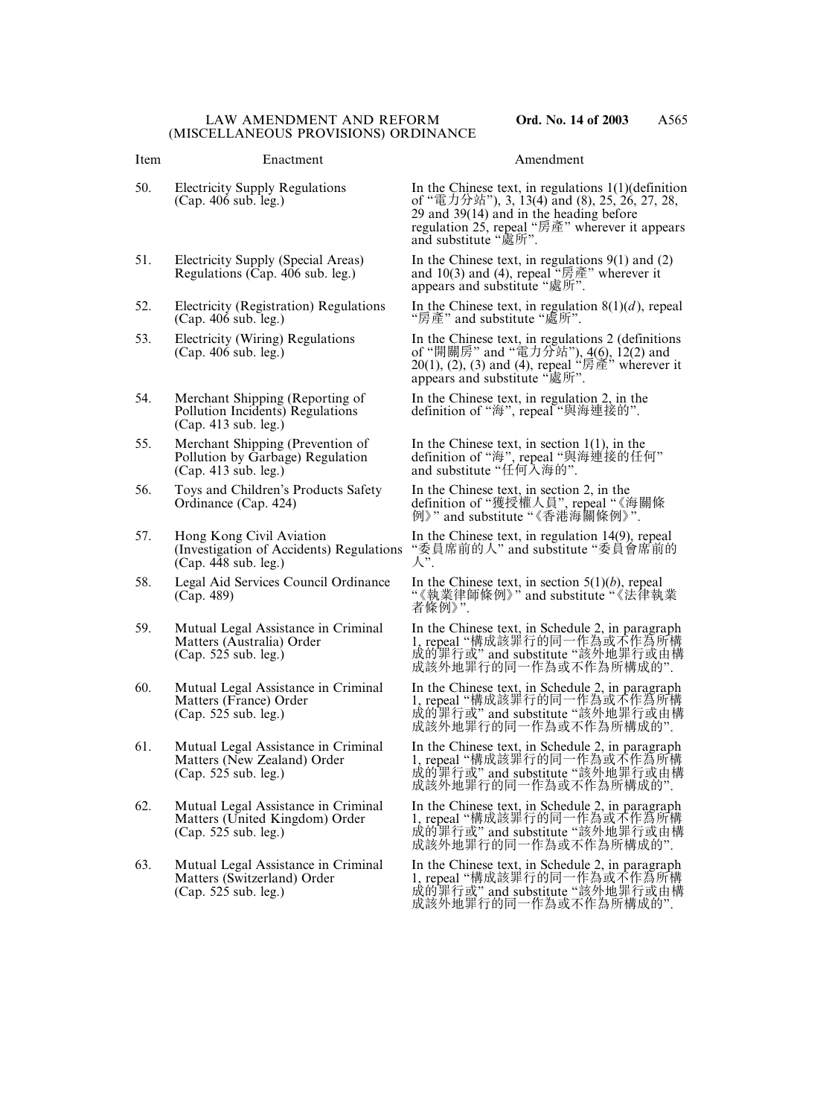## Item Enactment Amendment

- 
- 
- 52. Electricity (Registration) Regulations In the Chinese text, in regulation  $8(1)(d)$ , repeal (Cap. 406 sub. leg.)  $\mathscr{L}$  "房產" and substitute "處所".
- 
- 54. Merchant Shipping (Reporting of In the Chinese text, in regulation 2, in the (Cap. 413 sub. leg.)
- 55. Merchant Shipping (Prevention of In the Chinese text, in section 1(1), in the Pollution by Garbage) Regulation definition of "海", repeal "與海連接的任 (Cap. 413 sub. leg.) and substitute "任何入海的".
- 56. Toys and Children's Products Safety In the Chinese text, in section 2, in the
- 57. Hong Kong Civil Aviation In the Chinese text, in regulation 14(9), repeal (Investigation of Accidents) Regulations "委員席前的人" and substitute "委員會席前的  $(Cap. 448 sub. leg.)$
- 58. Legal Aid Services Council Ordinance In the Chinese text, in section 5(1)(*b*), repeal (Cap. 489) <br>
"《執業律師條例》" and substitute "《法律執
- 
- 
- 
- 
- 

50. Electricity Supply Regulations In the Chinese text, in regulations 1(1)(definition (Cap. 406 sub. leg.) of "電力分站"), 3, 13(4) and (8), 25, 26, 27, 28. of "電力分站"), 3, 13(4) and (8), 25, 26, 27, 28, 29 and 39(14) and in the heading before regulation 25, repeal "房產" wherever it appears and substitute "處所".

51. Electricity Supply (Special Areas) In the Chinese text, in regulations 9(1) and (2) Regulations (Cap. 406 sub. leg.) and 10(3) and (4), repeal "房產" wherever it appears and substitute "處所".

53. Electricity (Wiring) Regulations In the Chinese text, in regulations 2 (definitions (Cap. 406 sub. leg.) of "開關房" and "電力分站"), 4(6), 12(2) and (Cap. 406 sub. leg.) of "開關房" and "電力分站"), 4(6), 12(2) and 20(1), (2), (3) and (4), repeal "房產" wherever it appears and substitute "處所".

Pollution Incidents) Regulations definition of "海", repeal "與海連接的".

Pollution by Garbage) Regulation lefinition of "海", repeal "與海連接的任何"

Ordinance (Cap. 424) definition of "獲授權人員", repeal "《海關條 例》" and substitute "《香港海關條例》".

"委員席前的人" and substitute "委員會席前的<br>人"

"《執業律師條例》" and substitute "《法律執業 者條例》".

59. Mutual Legal Assistance in Criminal In the Chinese text, in Schedule 2, in paragraph<br>Matters (Australia) Order 1, repeal "構成該罪行的同一作為或不作為所構 Matters (Australia) Order 1, repeal "構成該罪行的同一作為或不作為所構 (Cap. 525 sub. leg.) 成的罪行或" and substitute "該外地罪行或由構 成該外地罪行的同一作為或不作為所構成的".

60. Mutual Legal Assistance in Criminal In the Chinese text, in Schedule 2, in paragraph<br>Matters (France) Order 1, repeal "構成該罪行的同一作為或不作為所構 Matters (France) Order 1, repeal "構成該罪行的同一作為或不作為所構 (Cap. 525 sub. leg.) 成的罪行或" and substitute "該外地罪行或由構 成設外地罪行的同一作為或不作為所構成的".

61. Mutual Legal Assistance in Criminal In the Chinese text, in Schedule 2, in paragraph<br>Matters (New Zealand) Order 1, repeal "構成該罪行的同一作為或不作為所構 Matters (New Zealand) Order 1, repeal "構成該罪行的同一作為或不作為所構 (Cap. 525 sub. leg.) 成的罪行或" and substitute "該外地罪行或由構 成該外地罪行的同一作為或不作為所構成的".

62. Mutual Legal Assistance in Criminal In the Chinese text, in Schedule 2, in paragraph<br>Matters (United Kingdom) Order 1, repeal "構成該罪行的同一作為或不作為所構 Matters (United Kingdom) Order 1, repeal "構成該罪行的同一作為或不作為所構 (Cap. 525 sub. leg.) 成的罪行或" and substitute "該外地罪行或由構 成該外地罪行的同一作為或不作為所構成的".

63. Mutual Legal Assistance in Criminal In the Chinese text, in Schedule 2, in paragraph<br>Matters (Switzerland) Order 1, repeal "構成該罪行的同一作為或不作為所構 Matters (Switzerland) Order 1, repeal "構成該罪行的同一作為或不作為所構 (Cap. 525 sub. leg.) 成的罪行或" and substitute "該外地罪行或由構 成該外地罪行的同一作為或不作為所構成的".